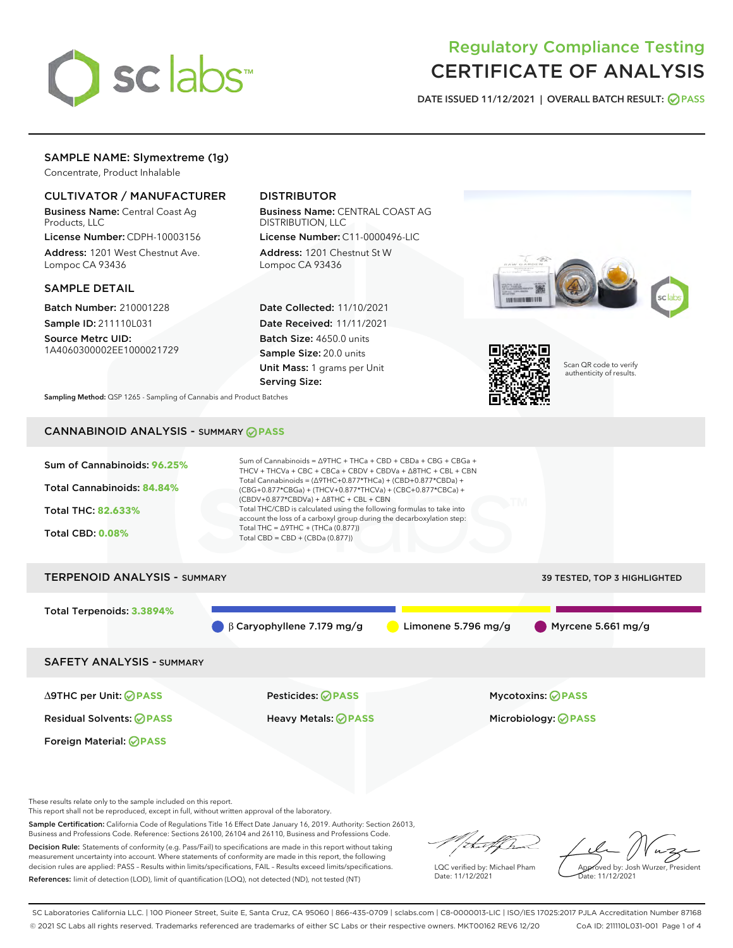

# Regulatory Compliance Testing CERTIFICATE OF ANALYSIS

DATE ISSUED 11/12/2021 | OVERALL BATCH RESULT: @ PASS

# SAMPLE NAME: Slymextreme (1g)

Concentrate, Product Inhalable

# CULTIVATOR / MANUFACTURER

Business Name: Central Coast Ag Products, LLC

License Number: CDPH-10003156 Address: 1201 West Chestnut Ave. Lompoc CA 93436

## SAMPLE DETAIL

Batch Number: 210001228 Sample ID: 211110L031

Source Metrc UID: 1A4060300002EE1000021729

# DISTRIBUTOR

Business Name: CENTRAL COAST AG DISTRIBUTION, LLC License Number: C11-0000496-LIC

Address: 1201 Chestnut St W Lompoc CA 93436

Date Collected: 11/10/2021 Date Received: 11/11/2021 Batch Size: 4650.0 units Sample Size: 20.0 units Unit Mass: 1 grams per Unit Serving Size:





Scan QR code to verify authenticity of results.

Sampling Method: QSP 1265 - Sampling of Cannabis and Product Batches

# CANNABINOID ANALYSIS - SUMMARY **PASS**



These results relate only to the sample included on this report.

This report shall not be reproduced, except in full, without written approval of the laboratory.

Sample Certification: California Code of Regulations Title 16 Effect Date January 16, 2019. Authority: Section 26013, Business and Professions Code. Reference: Sections 26100, 26104 and 26110, Business and Professions Code. Decision Rule: Statements of conformity (e.g. Pass/Fail) to specifications are made in this report without taking

measurement uncertainty into account. Where statements of conformity are made in this report, the following decision rules are applied: PASS – Results within limits/specifications, FAIL – Results exceed limits/specifications. References: limit of detection (LOD), limit of quantification (LOQ), not detected (ND), not tested (NT)

that for

LQC verified by: Michael Pham Date: 11/12/2021

Approved by: Josh Wurzer, President ate: 11/12/2021

SC Laboratories California LLC. | 100 Pioneer Street, Suite E, Santa Cruz, CA 95060 | 866-435-0709 | sclabs.com | C8-0000013-LIC | ISO/IES 17025:2017 PJLA Accreditation Number 87168 © 2021 SC Labs all rights reserved. Trademarks referenced are trademarks of either SC Labs or their respective owners. MKT00162 REV6 12/20 CoA ID: 211110L031-001 Page 1 of 4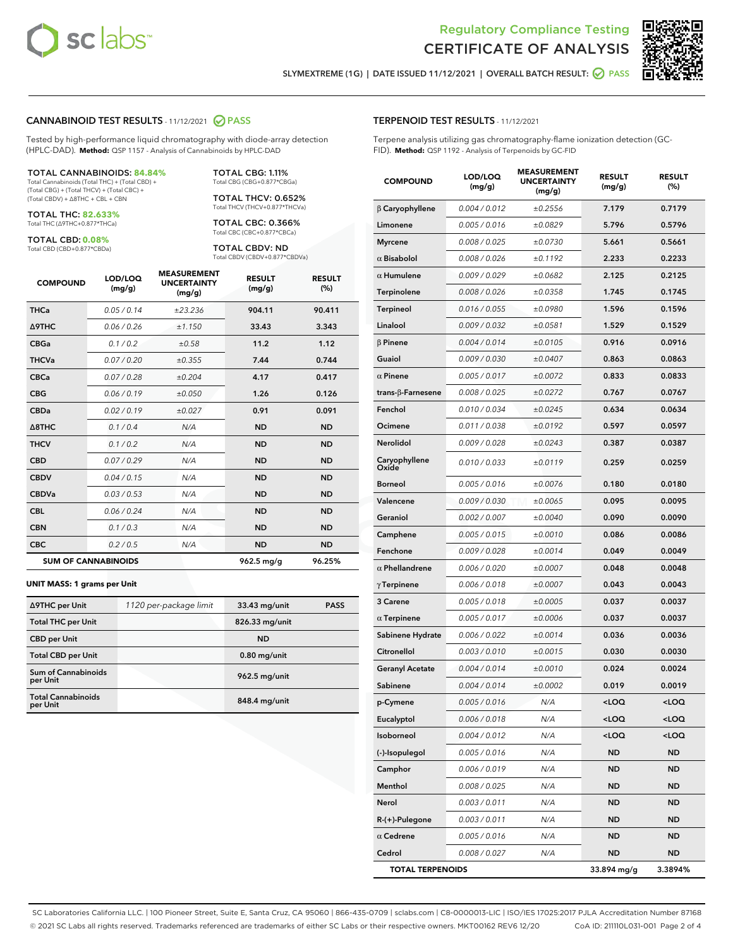



SLYMEXTREME (1G) | DATE ISSUED 11/12/2021 | OVERALL BATCH RESULT: @ PASS

#### CANNABINOID TEST RESULTS - 11/12/2021 2 PASS

Tested by high-performance liquid chromatography with diode-array detection (HPLC-DAD). **Method:** QSP 1157 - Analysis of Cannabinoids by HPLC-DAD

#### TOTAL CANNABINOIDS: **84.84%**

Total Cannabinoids (Total THC) + (Total CBD) + (Total CBG) + (Total THCV) + (Total CBC) + (Total CBDV) + ∆8THC + CBL + CBN

TOTAL THC: **82.633%** Total THC (∆9THC+0.877\*THCa)

TOTAL CBD: **0.08%**

Total CBD (CBD+0.877\*CBDa)

TOTAL CBG: 1.11% Total CBG (CBG+0.877\*CBGa)

TOTAL THCV: 0.652% Total THCV (THCV+0.877\*THCVa)

TOTAL CBC: 0.366% Total CBC (CBC+0.877\*CBCa)

TOTAL CBDV: ND Total CBDV (CBDV+0.877\*CBDVa)

| <b>COMPOUND</b>  | LOD/LOQ<br>(mg/g)          | <b>MEASUREMENT</b><br><b>UNCERTAINTY</b><br>(mg/g) | <b>RESULT</b><br>(mg/g) | <b>RESULT</b><br>(%) |
|------------------|----------------------------|----------------------------------------------------|-------------------------|----------------------|
| <b>THCa</b>      | 0.05/0.14                  | ±23.236                                            | 904.11                  | 90.411               |
| <b>A9THC</b>     | 0.06 / 0.26                | ±1.150                                             | 33.43                   | 3.343                |
| <b>CBGa</b>      | 0.1/0.2                    | ±0.58                                              | 11.2                    | 1.12                 |
| <b>THCVa</b>     | 0.07 / 0.20                | ±0.355                                             | 7.44                    | 0.744                |
| <b>CBCa</b>      | 0.07 / 0.28                | ±0.204                                             | 4.17                    | 0.417                |
| <b>CBG</b>       | 0.06/0.19                  | ±0.050                                             | 1.26                    | 0.126                |
| <b>CBDa</b>      | 0.02/0.19                  | ±0.027                                             | 0.91                    | 0.091                |
| $\triangle$ 8THC | 0.1/0.4                    | N/A                                                | <b>ND</b>               | <b>ND</b>            |
| <b>THCV</b>      | 0.1/0.2                    | N/A                                                | <b>ND</b>               | <b>ND</b>            |
| <b>CBD</b>       | 0.07/0.29                  | N/A                                                | <b>ND</b>               | <b>ND</b>            |
| <b>CBDV</b>      | 0.04 / 0.15                | N/A                                                | <b>ND</b>               | <b>ND</b>            |
| <b>CBDVa</b>     | 0.03 / 0.53                | N/A                                                | <b>ND</b>               | <b>ND</b>            |
| <b>CBL</b>       | 0.06 / 0.24                | N/A                                                | <b>ND</b>               | <b>ND</b>            |
| <b>CBN</b>       | 0.1/0.3                    | N/A                                                | <b>ND</b>               | <b>ND</b>            |
| <b>CBC</b>       | 0.2 / 0.5                  | N/A                                                | <b>ND</b>               | <b>ND</b>            |
|                  | <b>SUM OF CANNABINOIDS</b> |                                                    | 962.5 mg/g              | 96.25%               |

#### **UNIT MASS: 1 grams per Unit**

| ∆9THC per Unit                        | 1120 per-package limit | 33.43 mg/unit  | <b>PASS</b> |
|---------------------------------------|------------------------|----------------|-------------|
| <b>Total THC per Unit</b>             |                        | 826.33 mg/unit |             |
| <b>CBD</b> per Unit                   |                        | <b>ND</b>      |             |
| <b>Total CBD per Unit</b>             |                        | $0.80$ mg/unit |             |
| Sum of Cannabinoids<br>per Unit       |                        | 962.5 mg/unit  |             |
| <b>Total Cannabinoids</b><br>per Unit |                        | 848.4 mg/unit  |             |

# TERPENOID TEST RESULTS - 11/12/2021

Terpene analysis utilizing gas chromatography-flame ionization detection (GC-FID). **Method:** QSP 1192 - Analysis of Terpenoids by GC-FID

| <b>COMPOUND</b>           | LOD/LOQ<br>(mg/g) | <b>MEASUREMENT</b><br><b>UNCERTAINTY</b><br>(mg/g) | <b>RESULT</b><br>(mg/g)                         | <b>RESULT</b><br>(%) |
|---------------------------|-------------------|----------------------------------------------------|-------------------------------------------------|----------------------|
| $\beta$ Caryophyllene     | 0.004 / 0.012     | ±0.2556                                            | 7.179                                           | 0.7179               |
| Limonene                  | 0.005 / 0.016     | ±0.0829                                            | 5.796                                           | 0.5796               |
| <b>Myrcene</b>            | 0.008 / 0.025     | ±0.0730                                            | 5.661                                           | 0.5661               |
| $\alpha$ Bisabolol        | 0.008 / 0.026     | ±0.1192                                            | 2.233                                           | 0.2233               |
| $\alpha$ Humulene         | 0.009/0.029       | ±0.0682                                            | 2.125                                           | 0.2125               |
| Terpinolene               | 0.008 / 0.026     | ±0.0358                                            | 1.745                                           | 0.1745               |
| <b>Terpineol</b>          | 0.016 / 0.055     | ±0.0980                                            | 1.596                                           | 0.1596               |
| Linalool                  | 0.009 / 0.032     | ±0.0581                                            | 1.529                                           | 0.1529               |
| $\beta$ Pinene            | 0.004 / 0.014     | ±0.0105                                            | 0.916                                           | 0.0916               |
| Guaiol                    | 0.009 / 0.030     | ±0.0407                                            | 0.863                                           | 0.0863               |
| $\alpha$ Pinene           | 0.005 / 0.017     | ±0.0072                                            | 0.833                                           | 0.0833               |
| trans- $\beta$ -Farnesene | 0.008 / 0.025     | ±0.0272                                            | 0.767                                           | 0.0767               |
| Fenchol                   | 0.010 / 0.034     | ±0.0245                                            | 0.634                                           | 0.0634               |
| Ocimene                   | 0.011 / 0.038     | ±0.0192                                            | 0.597                                           | 0.0597               |
| Nerolidol                 | 0.009 / 0.028     | ±0.0243                                            | 0.387                                           | 0.0387               |
| Caryophyllene<br>Oxide    | 0.010 / 0.033     | ±0.0119                                            | 0.259                                           | 0.0259               |
| <b>Borneol</b>            | 0.005 / 0.016     | ±0.0076                                            | 0.180                                           | 0.0180               |
| Valencene                 | 0.009 / 0.030     | ±0.0065                                            | 0.095                                           | 0.0095               |
| Geraniol                  | 0.002 / 0.007     | ±0.0040                                            | 0.090                                           | 0.0090               |
| Camphene                  | 0.005 / 0.015     | ±0.0010                                            | 0.086                                           | 0.0086               |
| Fenchone                  | 0.009 / 0.028     | ±0.0014                                            | 0.049                                           | 0.0049               |
| $\alpha$ Phellandrene     | 0.006 / 0.020     | ±0.0007                                            | 0.048                                           | 0.0048               |
| $\gamma$ Terpinene        | 0.006 / 0.018     | ±0.0007                                            | 0.043                                           | 0.0043               |
| 3 Carene                  | 0.005 / 0.018     | ±0.0005                                            | 0.037                                           | 0.0037               |
| $\alpha$ Terpinene        | 0.005 / 0.017     | ±0.0006                                            | 0.037                                           | 0.0037               |
| Sabinene Hydrate          | 0.006 / 0.022     | ±0.0014                                            | 0.036                                           | 0.0036               |
| Citronellol               | 0.003 / 0.010     | ±0.0015                                            | 0.030                                           | 0.0030               |
| Geranyl Acetate           | 0.004 / 0.014     | ±0.0010                                            | 0.024                                           | 0.0024               |
| Sabinene                  | 0.004 / 0.014     | ±0.0002                                            | 0.019                                           | 0.0019               |
| p-Cymene                  | 0.005 / 0.016     | N/A                                                | <loq< th=""><th><loq< th=""></loq<></th></loq<> | <loq< th=""></loq<>  |
| Eucalyptol                | 0.006 / 0.018     | N/A                                                | <loq< th=""><th><loq< th=""></loq<></th></loq<> | <loq< th=""></loq<>  |
| Isoborneol                | 0.004 / 0.012     | N/A                                                | $<$ LOQ                                         | <loq< th=""></loq<>  |
| (-)-Isopulegol            | 0.005 / 0.016     | N/A                                                | <b>ND</b>                                       | <b>ND</b>            |
| Camphor                   | 0.006 / 0.019     | N/A                                                | <b>ND</b>                                       | <b>ND</b>            |
| Menthol                   | 0.008 / 0.025     | N/A                                                | ND                                              | ND                   |
| Nerol                     | 0.003 / 0.011     | N/A                                                | <b>ND</b>                                       | ND                   |
| R-(+)-Pulegone            | 0.003 / 0.011     | N/A                                                | <b>ND</b>                                       | <b>ND</b>            |
| $\alpha$ Cedrene          | 0.005 / 0.016     | N/A                                                | ND                                              | ND                   |
| Cedrol                    | 0.008 / 0.027     | N/A                                                | <b>ND</b>                                       | ND                   |
| <b>TOTAL TERPENOIDS</b>   |                   |                                                    | 33.894 mg/g                                     | 3.3894%              |

SC Laboratories California LLC. | 100 Pioneer Street, Suite E, Santa Cruz, CA 95060 | 866-435-0709 | sclabs.com | C8-0000013-LIC | ISO/IES 17025:2017 PJLA Accreditation Number 87168 © 2021 SC Labs all rights reserved. Trademarks referenced are trademarks of either SC Labs or their respective owners. MKT00162 REV6 12/20 CoA ID: 211110L031-001 Page 2 of 4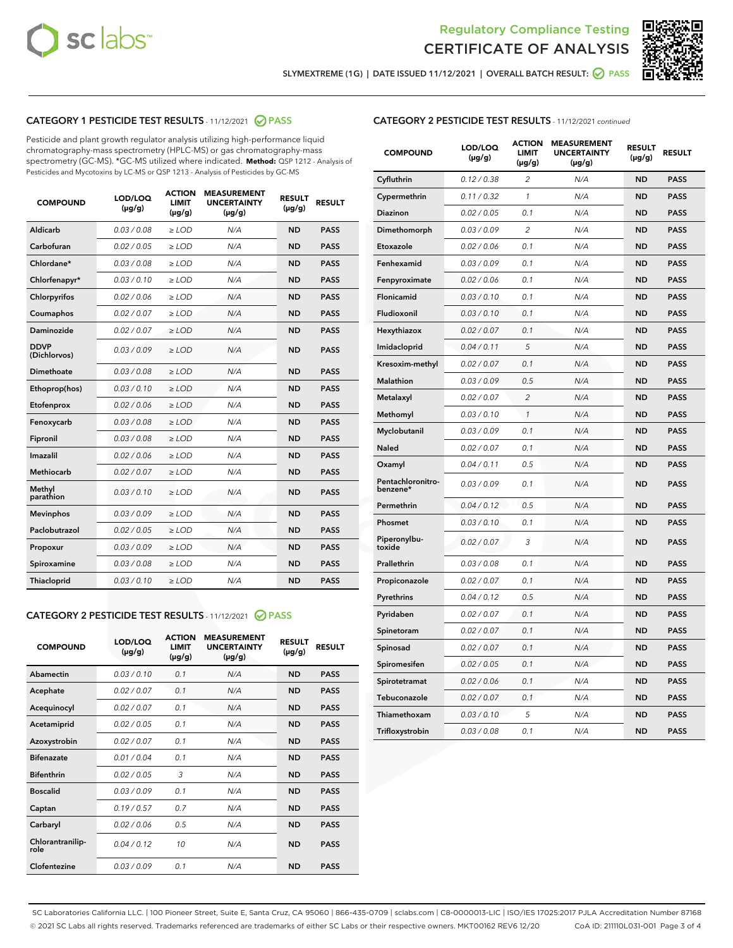



SLYMEXTREME (1G) | DATE ISSUED 11/12/2021 | OVERALL BATCH RESULT:  $\bigcirc$  PASS

# CATEGORY 1 PESTICIDE TEST RESULTS - 11/12/2021 2 PASS

Pesticide and plant growth regulator analysis utilizing high-performance liquid chromatography-mass spectrometry (HPLC-MS) or gas chromatography-mass spectrometry (GC-MS). \*GC-MS utilized where indicated. **Method:** QSP 1212 - Analysis of Pesticides and Mycotoxins by LC-MS or QSP 1213 - Analysis of Pesticides by GC-MS

| <b>COMPOUND</b>             | LOD/LOQ<br>$(\mu g/g)$ | <b>ACTION</b><br><b>LIMIT</b><br>$(\mu g/g)$ | <b>MEASUREMENT</b><br><b>UNCERTAINTY</b><br>$(\mu g/g)$ | <b>RESULT</b><br>$(\mu g/g)$ | <b>RESULT</b> |
|-----------------------------|------------------------|----------------------------------------------|---------------------------------------------------------|------------------------------|---------------|
| Aldicarb                    | 0.03 / 0.08            | $\ge$ LOD                                    | N/A                                                     | <b>ND</b>                    | <b>PASS</b>   |
| Carbofuran                  | 0.02 / 0.05            | $\ge$ LOD                                    | N/A                                                     | <b>ND</b>                    | <b>PASS</b>   |
| Chlordane*                  | 0.03 / 0.08            | $\ge$ LOD                                    | N/A                                                     | <b>ND</b>                    | <b>PASS</b>   |
| Chlorfenapyr*               | 0.03/0.10              | $\ge$ LOD                                    | N/A                                                     | <b>ND</b>                    | <b>PASS</b>   |
| Chlorpyrifos                | 0.02 / 0.06            | $\ge$ LOD                                    | N/A                                                     | <b>ND</b>                    | <b>PASS</b>   |
| Coumaphos                   | 0.02 / 0.07            | $\ge$ LOD                                    | N/A                                                     | <b>ND</b>                    | <b>PASS</b>   |
| Daminozide                  | 0.02 / 0.07            | $\ge$ LOD                                    | N/A                                                     | <b>ND</b>                    | <b>PASS</b>   |
| <b>DDVP</b><br>(Dichlorvos) | 0.03/0.09              | $>$ LOD                                      | N/A                                                     | <b>ND</b>                    | <b>PASS</b>   |
| Dimethoate                  | 0.03 / 0.08            | $\ge$ LOD                                    | N/A                                                     | <b>ND</b>                    | <b>PASS</b>   |
| Ethoprop(hos)               | 0.03/0.10              | $>$ LOD                                      | N/A                                                     | <b>ND</b>                    | <b>PASS</b>   |
| Etofenprox                  | 0.02 / 0.06            | $\ge$ LOD                                    | N/A                                                     | <b>ND</b>                    | <b>PASS</b>   |
| Fenoxycarb                  | 0.03 / 0.08            | $\ge$ LOD                                    | N/A                                                     | <b>ND</b>                    | <b>PASS</b>   |
| Fipronil                    | 0.03 / 0.08            | $\ge$ LOD                                    | N/A                                                     | <b>ND</b>                    | <b>PASS</b>   |
| Imazalil                    | 0.02 / 0.06            | $>$ LOD                                      | N/A                                                     | <b>ND</b>                    | <b>PASS</b>   |
| <b>Methiocarb</b>           | 0.02 / 0.07            | $\ge$ LOD                                    | N/A                                                     | <b>ND</b>                    | <b>PASS</b>   |
| Methyl<br>parathion         | 0.03/0.10              | $\ge$ LOD                                    | N/A                                                     | <b>ND</b>                    | <b>PASS</b>   |
| <b>Mevinphos</b>            | 0.03/0.09              | $\ge$ LOD                                    | N/A                                                     | <b>ND</b>                    | <b>PASS</b>   |
| Paclobutrazol               | 0.02 / 0.05            | $>$ LOD                                      | N/A                                                     | <b>ND</b>                    | <b>PASS</b>   |
| Propoxur                    | 0.03/0.09              | $\ge$ LOD                                    | N/A                                                     | <b>ND</b>                    | <b>PASS</b>   |
| Spiroxamine                 | 0.03/0.08              | $\ge$ LOD                                    | N/A                                                     | <b>ND</b>                    | <b>PASS</b>   |
| Thiacloprid                 | 0.03/0.10              | $\ge$ LOD                                    | N/A                                                     | <b>ND</b>                    | <b>PASS</b>   |

# CATEGORY 2 PESTICIDE TEST RESULTS - 11/12/2021 @ PASS

| <b>COMPOUND</b>          | LOD/LOO<br>$(\mu g/g)$ | <b>ACTION</b><br>LIMIT<br>$(\mu g/g)$ | <b>MEASUREMENT</b><br><b>UNCERTAINTY</b><br>$(\mu g/g)$ | <b>RESULT</b><br>$(\mu g/g)$ | <b>RESULT</b> |  |
|--------------------------|------------------------|---------------------------------------|---------------------------------------------------------|------------------------------|---------------|--|
| Abamectin                | 0.03/0.10              | 0.1                                   | N/A                                                     | <b>ND</b>                    | <b>PASS</b>   |  |
| Acephate                 | 0.02/0.07              | 0.1                                   | N/A                                                     | <b>ND</b>                    | <b>PASS</b>   |  |
| Acequinocyl              | 0.02/0.07              | 0.1                                   | N/A                                                     | <b>ND</b>                    | <b>PASS</b>   |  |
| Acetamiprid              | 0.02/0.05              | 0.1                                   | N/A                                                     | <b>ND</b>                    | <b>PASS</b>   |  |
| Azoxystrobin             | 0.02/0.07              | 0.1                                   | N/A                                                     | <b>ND</b>                    | <b>PASS</b>   |  |
| <b>Bifenazate</b>        | 0.01 / 0.04            | 0.1                                   | N/A                                                     | <b>ND</b>                    | <b>PASS</b>   |  |
| <b>Bifenthrin</b>        | 0.02/0.05              | 3                                     | N/A                                                     | <b>ND</b>                    | <b>PASS</b>   |  |
| <b>Boscalid</b>          | 0.03/0.09              | 0.1                                   | N/A                                                     | <b>ND</b>                    | <b>PASS</b>   |  |
| Captan                   | 0.19/0.57              | 0.7                                   | N/A                                                     | <b>ND</b>                    | <b>PASS</b>   |  |
| Carbaryl                 | 0.02/0.06              | 0.5                                   | N/A                                                     | <b>ND</b>                    | <b>PASS</b>   |  |
| Chlorantranilip-<br>role | 0.04/0.12              | 10                                    | N/A                                                     | <b>ND</b>                    | <b>PASS</b>   |  |
| Clofentezine             | 0.03/0.09              | 0.1                                   | N/A                                                     | <b>ND</b>                    | <b>PASS</b>   |  |

# CATEGORY 2 PESTICIDE TEST RESULTS - 11/12/2021 continued

| <b>COMPOUND</b>               | LOD/LOQ<br>(µg/g) | <b>ACTION</b><br><b>LIMIT</b><br>$(\mu g/g)$ | <b>MEASUREMENT</b><br><b>UNCERTAINTY</b><br>$(\mu g/g)$ | <b>RESULT</b><br>(µg/g) | <b>RESULT</b> |
|-------------------------------|-------------------|----------------------------------------------|---------------------------------------------------------|-------------------------|---------------|
| Cyfluthrin                    | 0.12 / 0.38       | $\overline{c}$                               | N/A                                                     | ND                      | <b>PASS</b>   |
| Cypermethrin                  | 0.11 / 0.32       | $\mathcal{I}$                                | N/A                                                     | ND                      | PASS          |
| <b>Diazinon</b>               | 0.02 / 0.05       | 0.1                                          | N/A                                                     | <b>ND</b>               | <b>PASS</b>   |
| Dimethomorph                  | 0.03 / 0.09       | 2                                            | N/A                                                     | ND                      | PASS          |
| Etoxazole                     | 0.02 / 0.06       | 0.1                                          | N/A                                                     | ND                      | <b>PASS</b>   |
| Fenhexamid                    | 0.03 / 0.09       | 0.1                                          | N/A                                                     | ND                      | <b>PASS</b>   |
| Fenpyroximate                 | 0.02 / 0.06       | 0.1                                          | N/A                                                     | <b>ND</b>               | <b>PASS</b>   |
| Flonicamid                    | 0.03 / 0.10       | 0.1                                          | N/A                                                     | ND                      | <b>PASS</b>   |
| Fludioxonil                   | 0.03 / 0.10       | 0.1                                          | N/A                                                     | ND                      | <b>PASS</b>   |
| Hexythiazox                   | 0.02 / 0.07       | 0.1                                          | N/A                                                     | ND                      | <b>PASS</b>   |
| Imidacloprid                  | 0.04 / 0.11       | 5                                            | N/A                                                     | ND                      | <b>PASS</b>   |
| Kresoxim-methyl               | 0.02 / 0.07       | 0.1                                          | N/A                                                     | ND                      | <b>PASS</b>   |
| Malathion                     | 0.03 / 0.09       | 0.5                                          | N/A                                                     | ND                      | <b>PASS</b>   |
| Metalaxyl                     | 0.02 / 0.07       | $\overline{c}$                               | N/A                                                     | ND                      | <b>PASS</b>   |
| Methomyl                      | 0.03 / 0.10       | $\mathbf{1}$                                 | N/A                                                     | ND                      | <b>PASS</b>   |
| Myclobutanil                  | 0.03 / 0.09       | 0.1                                          | N/A                                                     | <b>ND</b>               | <b>PASS</b>   |
| Naled                         | 0.02 / 0.07       | 0.1                                          | N/A                                                     | ND                      | <b>PASS</b>   |
| Oxamyl                        | 0.04 / 0.11       | 0.5                                          | N/A                                                     | ND                      | PASS          |
| Pentachloronitro-<br>benzene* | 0.03 / 0.09       | 0.1                                          | N/A                                                     | ND                      | <b>PASS</b>   |
| Permethrin                    | 0.04 / 0.12       | 0.5                                          | N/A                                                     | ND                      | <b>PASS</b>   |
| Phosmet                       | 0.03 / 0.10       | 0.1                                          | N/A                                                     | ND                      | <b>PASS</b>   |
| Piperonylbu-<br>toxide        | 0.02 / 0.07       | 3                                            | N/A                                                     | <b>ND</b>               | <b>PASS</b>   |
| Prallethrin                   | 0.03 / 0.08       | 0.1                                          | N/A                                                     | ND                      | <b>PASS</b>   |
| Propiconazole                 | 0.02 / 0.07       | 0.1                                          | N/A                                                     | <b>ND</b>               | <b>PASS</b>   |
| Pyrethrins                    | 0.04 / 0.12       | 0.5                                          | N/A                                                     | ND                      | PASS          |
| Pyridaben                     | 0.02 / 0.07       | 0.1                                          | N/A                                                     | <b>ND</b>               | <b>PASS</b>   |
| Spinetoram                    | 0.02 / 0.07       | 0.1                                          | N/A                                                     | ND                      | <b>PASS</b>   |
| Spinosad                      | 0.02 / 0.07       | 0.1                                          | N/A                                                     | ND                      | PASS          |
| Spiromesifen                  | 0.02 / 0.05       | 0.1                                          | N/A                                                     | <b>ND</b>               | <b>PASS</b>   |
| Spirotetramat                 | 0.02 / 0.06       | 0.1                                          | N/A                                                     | ND                      | <b>PASS</b>   |
| Tebuconazole                  | 0.02 / 0.07       | 0.1                                          | N/A                                                     | ND                      | <b>PASS</b>   |
| Thiamethoxam                  | 0.03 / 0.10       | 5                                            | N/A                                                     | <b>ND</b>               | <b>PASS</b>   |
| Trifloxystrobin               | 0.03 / 0.08       | 0.1                                          | N/A                                                     | <b>ND</b>               | <b>PASS</b>   |

SC Laboratories California LLC. | 100 Pioneer Street, Suite E, Santa Cruz, CA 95060 | 866-435-0709 | sclabs.com | C8-0000013-LIC | ISO/IES 17025:2017 PJLA Accreditation Number 87168 © 2021 SC Labs all rights reserved. Trademarks referenced are trademarks of either SC Labs or their respective owners. MKT00162 REV6 12/20 CoA ID: 211110L031-001 Page 3 of 4